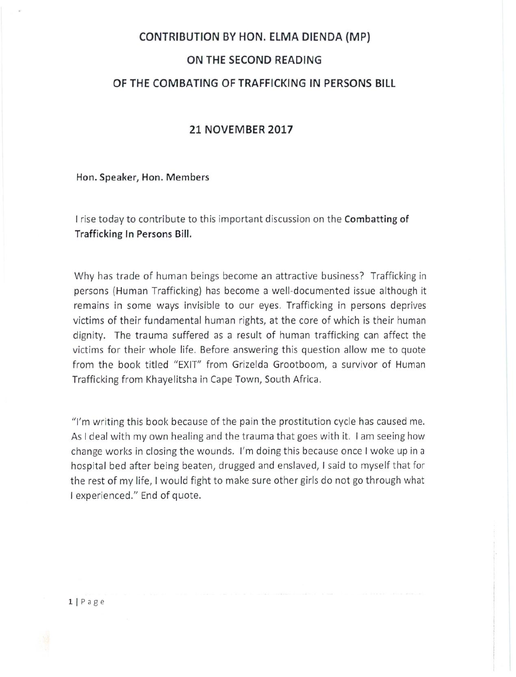## **CONTRIBUTION BY HON. ELMA DIENDA (MP)**

## **ON THE SECOND READING**

# **OF THE COMBATING OF TRAFFICKING IN PERSONS BILL**

## **21 NOVEMBER 2017**

**Hon. Speaker, Hon. Members**

I rise today to contribute to this important discussion on the **Combatting of Trafficking In Persons Bill.**

Why has trade of human beings become an attractive business? Trafficking in persons (Human Trafficking) has become a well-documented issue although it remains in some ways invisible to our eyes. Trafficking in persons deprives victims of their fundamental human rights, at the core of which is their human dignity. The trauma suffered as a result of human trafficking can affect the victims for their whole life. Before answering this question allow me to quote from the book titled "EXIT" from Grizelda Grootboom, a survivor of Human Trafficking from Khayelitsha in Cape Town, South Africa.

"I'm writing this book because of the pain the prostitution cycle has caused me. As I deal with my own healing and the trauma that goes with it. I am seeing how change works in closing the wounds. I'm doing this because once I woke up in a hospital bed after being beaten, drugged and enslaved, I said to myself that for the rest of my life, I would fight to make sure other girls do not go through what I experienced." End of quote.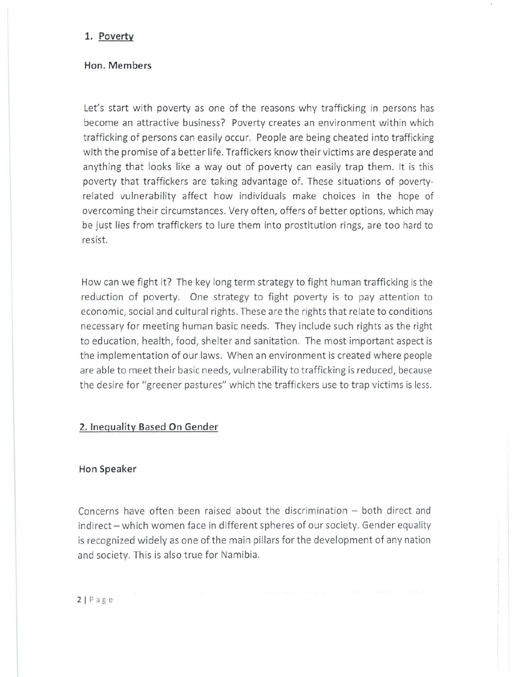#### **1. Poverty**

### **Hon. Members**

Let's start with poverty as one of the reasons why trafficking in persons has become an attractive business? Poverty creates an environment within which trafficking of persons can easily occur. People are being cheated into trafficking with the promise of a better life. Traffickers know their victims are desperate and anything that looks like a way out of poverty can easily trap them. It is this poverty that traffickers are taking advantage of. These situations of povertyrelated vulnerability affect how individuals make choices in the hope of overcoming their circumstances. Very often, offers of better options, which may be just lies from traffickers to lure them into prostitution rings, are too hard to resist.

How can we fight it? The key long term strategy to fight human trafficking is the reduction of poverty. One strategy to fight poverty is to pay attention to economic, social and cultural rights. These are the rights that relate to conditions necessary for meeting human basic needs. They include such rights as the right to education, health, food, shelter and sanitation. The most important aspect is the implementation of our laws. When an environment is created where people are able to meet their basic needs, vulnerability to trafficking is reduced, because the desire for "greener pastures" which the traffickers use to trap victims is less.

### **2. Inequality Based On Gender**

#### **Hon Speaker**

Concerns have often been raised about the discrimination  $-$  both direct and indirect - which women face in different spheres of our society. Gender equality is recognized widely as one of the main pillars for the development of any nation and society. This is also true for Namibia.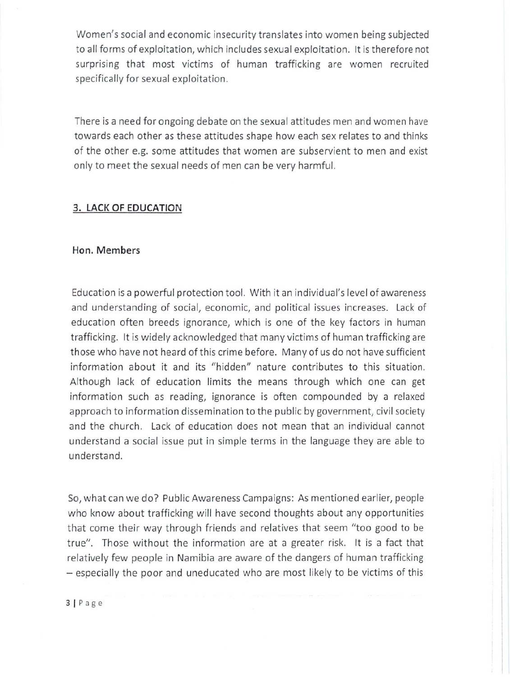Women's social and economic insecurity translates into women being subjected to all forms of exploitation, which includes sexual exploitation. It is therefore not surprising that most victims of human trafficking are women recruited specifically for sexual exploitation.

There is a need for ongoing debate on the sexual attitudes men and women have towards each other as these attitudes shape how each sex relates to and thinks of the other e.g. some attitudes that women are subservient to men and exist only to meet the sexual needs of men can be very harmful.

### **3. LACK OF EDUCATION**

### **Hon. Members**

Education is a powerful protection tool. With it an individual's level of awareness and understanding of social, economic, and political issues increases. Lack of education often breeds ignorance, which is one of the key factors in human trafficking. It is widely acknowledged that many victims of human trafficking are those who have not heard of this crime before. Many of us do not have sufficient information about it and its "hidden" nature contributes to this situation. Although lack of education limits the means through which one can get information such as reading, ignorance is often compounded by a relaxed approach to information dissemination to the public by government, civil society and the church. Lack of education does not mean that an individual cannot understand a social issue put in simple terms in the language they are able to understand.

So, what can we do? Public Awareness Campaigns: As mentioned earlier, people who know about trafficking will have second thoughts about any opportunities that come their way through friends and relatives that seem "too good to be true". Those without the information are at a greater risk. It is a fact that relatively few people in Namibia are aware of the dangers of human trafficking - especially the poor and uneducated who are most likely to be victims of this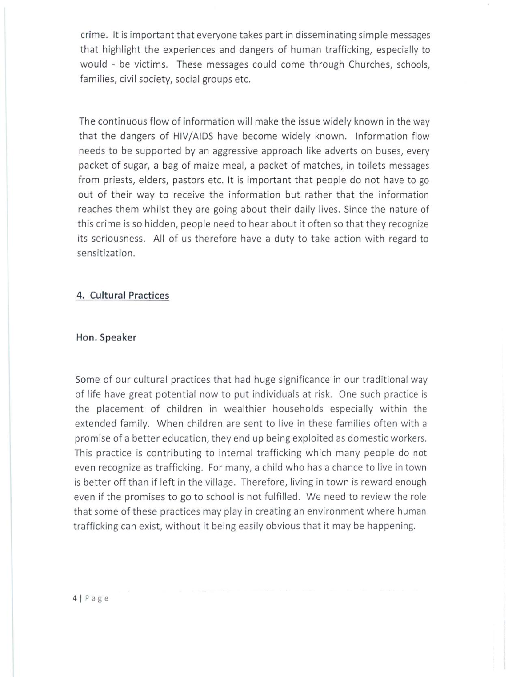crime. It is important that everyone takes part in disseminating simple messages that highlight the experiences and dangers of human trafficking, especially to would - be victims. These messages could come through Churches, schools, families, civil society, social groups etc.

The continuous flow of information will make the issue widely known in the way that the dangers of HIV/AIDS have become widely known. Information flow needs to be supported by an aggressive approach like adverts on buses, every packet of sugar, a bag of maize meal, a packet of matches, in toilets messages from priests, elders, pastors etc. It is important that people do not have to go out of their way to receive the information but rather that the information reaches them whilst they are going about their daily lives. Since the nature of this crime is so hidden, people need to hear about it often so that they recognize its seriousness. All of us therefore have a duty to take action with regard to sensitization.

## **4. Cultural Practices**

#### Hon. Speaker

Some of our cultural practices that had huge significance in our traditional way of life have great potential now to put individuals at risk. One such practice is the placement of children in wealthier households especially within the extended family. When children are sent to live in these families often with a promise of a better education, they end up being exploited as domestic workers. This practice is contributing to internal trafficking which many people do not even recognize as trafficking. For many, a child who has a chance to live in town is better off than if left in the village. Therefore, living in town is reward enough even if the promises to go to school is not fulfilled. We need to review the role that some of these practices may play in creating an environment where human trafficking can exist, without it being easily obvious that it may be happening.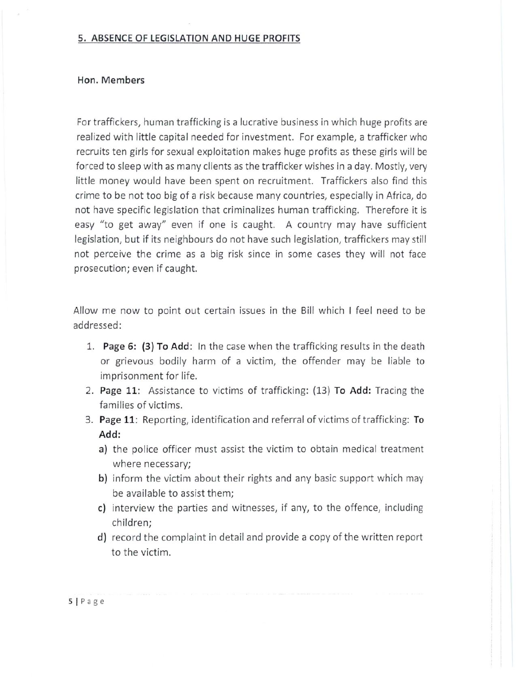### 5. ABSENCE OF LEGISLATION AND HUGE PROFITS

### Hon. Members

For traffickers, human trafficking is a lucrative business in which huge profits are realized with little capital needed for investment. For example, a trafficker who recruits ten girls for sexual exploitation makes huge profits as these girls will be forced to sleep with as many clients as the trafficker wishes in a day. Mostly, very little money would have been spent on recruitment. Traffickers also find this crime to be not too big of a risk because many countries, especially in Africa, do not have specific legislation that criminalizes human trafficking. Therefore it is easy "to get away" even if one is caught. A country may have sufficient legislation, but if its neighbours do not have such legislation, traffickers may still not perceive the crime as a big risk since in some cases they will not face prosecution; even if caught.

Allow me now to point out certain issues in the Bill which I feel need to be addressed:

- 1. Page 6: (3) To Add: In the case when the trafficking results in the death or grievous bodily harm of a victim, the offender may be liable to imprisonment for life.
- 2. Page 11: Assistance to victims of trafficking: (13) To Add: Tracing the families of victims.
- 3. Page 11: Reporting, identification and referral of victims of trafficking: To Add:
	- a) the police officer must assist the victim to obtain medical treatment where necessary;
	- b) inform the victim about their rights and any basic support which may be available to assist them;
	- c) interview the parties and witnesses, if any, to the offence, including children;
	- d) record the complaint in detail and provide a copy of the written report to the victim.